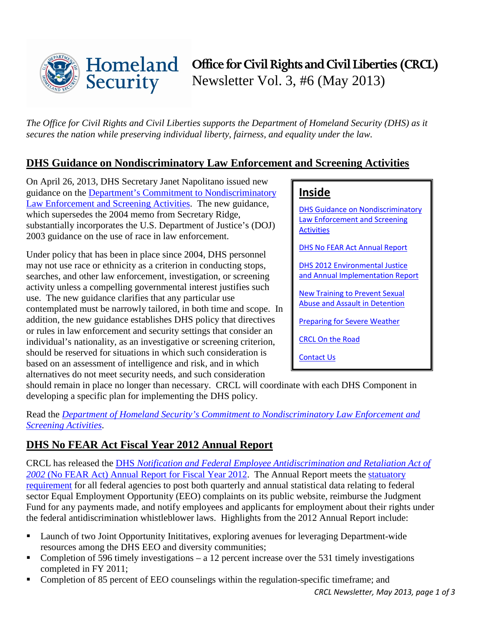

*The Office for Civil Rights and Civil Liberties supports the Department of Homeland Security (DHS) as it secures the nation while preserving individual liberty, fairness, and equality under the law.* 

## <span id="page-0-0"></span>**DHS Guidance on Nondiscriminatory Law Enforcement and Screening Activities**

On April 26, 2013, DHS Secretary Janet Napolitano issued new guidance on the [Department's Commitment to Nondiscriminatory](http://www.dhs.gov/sites/default/files/publications/secretary-memo-race-neutrality-2013_0.pdf)  [Law Enforcement and Screening Activities.](http://www.dhs.gov/sites/default/files/publications/secretary-memo-race-neutrality-2013_0.pdf) The new guidance, which supersedes the 2004 memo from Secretary Ridge, substantially incorporates the U.S. Department of Justice's (DOJ) 2003 guidance on the use of race in law enforcement.

Under policy that has been in place since 2004, DHS personnel may not use race or ethnicity as a criterion in conducting stops, searches, and other law enforcement, investigation, or screening activity unless a compelling governmental interest justifies such use. The new guidance clarifies that any particular use contemplated must be narrowly tailored, in both time and scope. In addition, the new guidance establishes DHS policy that directives or rules in law enforcement and security settings that consider an individual's nationality, as an investigative or screening criterion, should be reserved for situations in which such consideration is based on an assessment of intelligence and risk, and in which alternatives do not meet security needs, and such consideration

# **Inside**

[DHS Guidance on Nondiscriminatory](#page-0-0)  [Law Enforcement](#page-0-0) and Screening [Activities](#page-0-0) 

[DHS No FEAR Act Annual Report](#page-0-1) 

[DHS 2012 Environmental Justice](#page-1-0)  [and Annual Implementation Report](#page-1-0) 

[New Training to Prevent Sexual](#page-1-1)  [Abuse and Assault in Detention](#page-1-1)

[Preparing for Severe Weather](#page-1-2)

[CRCL On the Road](#page-2-0)

[Contact Us](#page-2-1)

should remain in place no longer than necessary. CRCL will coordinate with each DHS Component in developing a specific plan for implementing the DHS policy.

Read the *[Department of Homeland Security's Commitment to Nondiscriminatory Law Enforcement and](http://www.dhs.gov/sites/default/files/publications/secretary-memo-race-neutrality-2013_0.pdf)  [Screening Activities](http://www.dhs.gov/sites/default/files/publications/secretary-memo-race-neutrality-2013_0.pdf)*.

# <span id="page-0-1"></span>**DHS No FEAR Act Fiscal Year 2012 Annual Report**

CRCL has released the DHS *[Notification and Federal Employee Antidiscrimination and Retaliation Act of](http://www.dhs.gov/sites/default/files/publications/CRCL/no-fear-act-annual-report-fy2012.pdf)  2002* [\(No FEAR Act\) Annual Report for Fiscal Year 2012.](http://www.dhs.gov/sites/default/files/publications/CRCL/no-fear-act-annual-report-fy2012.pdf) The Annual Report meets the [statuatory](http://www.gpo.gov/fdsys/pkg/PLAW-107publ174/html/PLAW-107publ174.htm)  [requirement](http://www.gpo.gov/fdsys/pkg/PLAW-107publ174/html/PLAW-107publ174.htm) for all federal agencies to post both quarterly and annual statistical data relating to federal sector Equal Employment Opportunity (EEO) complaints on its public website, reimburse the Judgment Fund for any payments made, and notify employees and applicants for employment about their rights under the federal antidiscrimination whistleblower laws. Highlights from the 2012 Annual Report include:

- **Launch of two Joint Opportunity Inititatives, exploring avenues for leveraging Department-wide** resources among the DHS EEO and diversity communities;
- Completion of 596 timely investigations a 12 percent increase over the 531 timely investigations completed in FY 2011;
- Completion of 85 percent of EEO counselings within the regulation-specific timeframe; and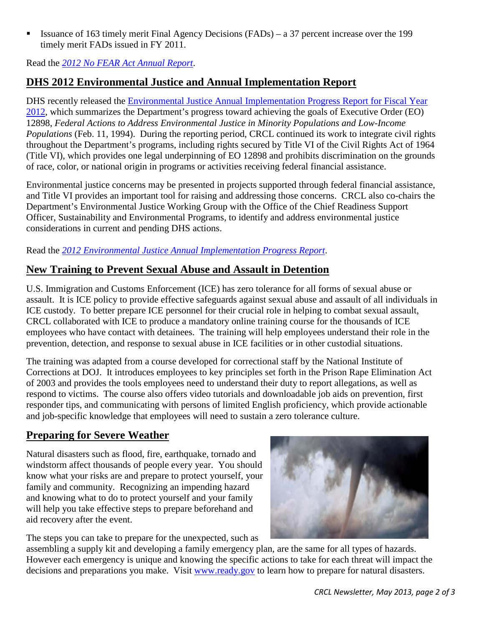**Issuance of 163 timely merit Final Agency Decisions (FADs)** – a 37 percent increase over the 199 timely merit FADs issued in FY 2011.

Read the *[2012 No FEAR Act Annual Report](http://www.dhs.gov/sites/default/files/publications/CRCL/no-fear-act-annual-report-fy2012.pdf)*.

# <span id="page-1-0"></span>**DHS 2012 Environmental Justice and Annual Implementation Report**

DHS recently released the [Environmental Justice Annual Implementation Progress Report for Fiscal Year](https://www.dhs.gov/sites/default/files/publications/13-0671%20Environmental%20Justice%20Annual%20Implementation%20Progress%20Report%2005%2003%2013%20v4%20clean_1.pdf)  [2012,](https://www.dhs.gov/sites/default/files/publications/13-0671%20Environmental%20Justice%20Annual%20Implementation%20Progress%20Report%2005%2003%2013%20v4%20clean_1.pdf) which summarizes the Department's progress toward achieving the goals of Executive Order (EO) 12898, *Federal Actions to Address Environmental Justice in Minority Populations and Low-Income Populations* (Feb. 11, 1994). During the reporting period, CRCL continued its work to integrate civil rights throughout the Department's programs, including rights secured by Title VI of the Civil Rights Act of 1964 (Title VI), which provides one legal underpinning of EO 12898 and prohibits discrimination on the grounds of race, color, or national origin in programs or activities receiving federal financial assistance.

Environmental justice concerns may be presented in projects supported through federal financial assistance, and Title VI provides an important tool for raising and addressing those concerns. CRCL also co-chairs the Department's Environmental Justice Working Group with the Office of the Chief Readiness Support Officer, Sustainability and Environmental Programs, to identify and address environmental justice considerations in current and pending DHS actions.

Read the *[2012 Environmental Justice Annual Implementation Progress Report](https://www.dhs.gov/sites/default/files/publications/13-0671%20Environmental%20Justice%20Annual%20Implementation%20Progress%20Report%2005%2003%2013%20v4%20clean_1.pdf)*.

## <span id="page-1-1"></span>**New Training to Prevent Sexual Abuse and Assault in Detention**

U.S. Immigration and Customs Enforcement (ICE) has zero tolerance for all forms of sexual abuse or assault. It is ICE policy to provide effective safeguards against sexual abuse and assault of all individuals in ICE custody. To better prepare ICE personnel for their crucial role in helping to combat sexual assault, CRCL collaborated with ICE to produce a mandatory online training course for the thousands of ICE employees who have contact with detainees. The training will help employees understand their role in the prevention, detection, and response to sexual abuse in ICE facilities or in other custodial situations.

The training was adapted from a course developed for correctional staff by the National Institute of Corrections at DOJ. It introduces employees to key principles set forth in the Prison Rape Elimination Act of 2003 and provides the tools employees need to understand their duty to report allegations, as well as respond to victims. The course also offers video tutorials and downloadable job aids on prevention, first responder tips, and communicating with persons of limited English proficiency, which provide actionable and job-specific knowledge that employees will need to sustain a zero tolerance culture.

## <span id="page-1-2"></span>**Preparing for Severe Weather**

Natural disasters such as flood, fire, earthquake, tornado and windstorm affect thousands of people every year. You should know what your risks are and prepare to protect yourself, your family and community. Recognizing an impending hazard and knowing what to do to protect yourself and your family will help you take effective steps to prepare beforehand and aid recovery after the event.



The steps you can take to prepare for the unexpected, such as

assembling a supply kit and developing a family emergency plan, are the same for all types of hazards. However each emergency is unique and knowing the specific actions to take for each threat will impact the decisions and preparations you make. Visit [www.ready.gov](http://www.ready.gov/) to learn how to prepare for natural disasters.